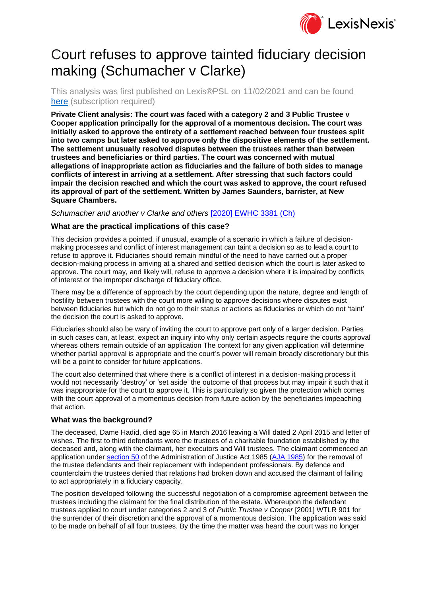

# Court refuses to approve tainted fiduciary decision making (Schumacher v Clarke)

This analysis was first published on Lexis®PSL on 11/02/2021 and can be found [here](https://www.lexisnexis.com/uk/lexispsl/privateclient/docfromresult/D-WA-A-AA-AA-MsSWYWZ-UUA-UZEYAAUUW-U-U-U-U-U-U-AZACEEECEV-AZABCYUBEV-BZVCDBWEU-U-U/1/412012?lni=6203-TPW3-GXFD-816D-00000-00) (subscription required)

**Private Client analysis: The court was faced with a category 2 and 3 Public Trustee v Cooper application principally for the approval of a momentous decision. The court was initially asked to approve the entirety of a settlement reached between four trustees split into two camps but later asked to approve only the dispositive elements of the settlement. The settlement unusually resolved disputes between the trustees rather than between trustees and beneficiaries or third parties. The court was concerned with mutual allegations of inappropriate action as fiduciaries and the failure of both sides to manage conflicts of interest in arriving at a settlement. After stressing that such factors could impair the decision reached and which the court was asked to approve, the court refused its approval of part of the settlement. Written by James Saunders, barrister, at New Square Chambers.** 

*Schumacher and another v Clarke and others* [\[2020\] EWHC 3381 \(Ch\)](https://www.lexisnexis.com/uk/lexispsl/privateclient/citationlinkHandler.faces?bct=A&service=citation&risb=&EWHCCH&$sel1!%252020%25$year!%252020%25$page!%253381%25)

## **What are the practical implications of this case?**

This decision provides a pointed, if unusual, example of a scenario in which a failure of decisionmaking processes and conflict of interest management can taint a decision so as to lead a court to refuse to approve it. Fiduciaries should remain mindful of the need to have carried out a proper decision-making process in arriving at a shared and settled decision which the court is later asked to approve. The court may, and likely will, refuse to approve a decision where it is impaired by conflicts of interest or the improper discharge of fiduciary office.

There may be a difference of approach by the court depending upon the nature, degree and length of hostility between trustees with the court more willing to approve decisions where disputes exist between fiduciaries but which do not go to their status or actions as fiduciaries or which do not 'taint' the decision the court is asked to approve.

Fiduciaries should also be wary of inviting the court to approve part only of a larger decision. Parties in such cases can, at least, expect an inquiry into why only certain aspects require the courts approval whereas others remain outside of an application The context for any given application will determine whether partial approval is appropriate and the court's power will remain broadly discretionary but this will be a point to consider for future applications.

The court also determined that where there is a conflict of interest in a decision-making process it would not necessarily 'destroy' or 'set aside' the outcome of that process but may impair it such that it was inappropriate for the court to approve it. This is particularly so given the protection which comes with the court approval of a momentous decision from future action by the beneficiaries impeaching that action.

### **What was the background?**

The deceased, Dame Hadid, died age 65 in March 2016 leaving a Will dated 2 April 2015 and letter of wishes. The first to third defendants were the trustees of a charitable foundation established by the deceased and, along with the claimant, her executors and Will trustees. The claimant commenced an application under [section 50](https://www.lexisnexis.com/uk/lexispsl/privateclient/citationlinkHandler.faces?bct=A&service=citation&risb=&UK_ACTS&$num!%251985_61a%25$section!%2550%25$sect!%2550%25) of the Administration of Justice Act 1985 [\(AJA 1985\)](https://www.lexisnexis.com/uk/lexispsl/privateclient/citationlinkHandler.faces?bct=A&service=citation&risb=&UK_ACTS&$num!%251985_61a_Title%25) for the removal of the trustee defendants and their replacement with independent professionals. By defence and counterclaim the trustees denied that relations had broken down and accused the claimant of failing to act appropriately in a fiduciary capacity.

The position developed following the successful negotiation of a compromise agreement between the trustees including the claimant for the final distribution of the estate. Whereupon the defendant trustees applied to court under categories 2 and 3 of *Public Trustee v Cooper* [2001] WTLR 901 for the surrender of their discretion and the approval of a momentous decision. The application was said to be made on behalf of all four trustees. By the time the matter was heard the court was no longer